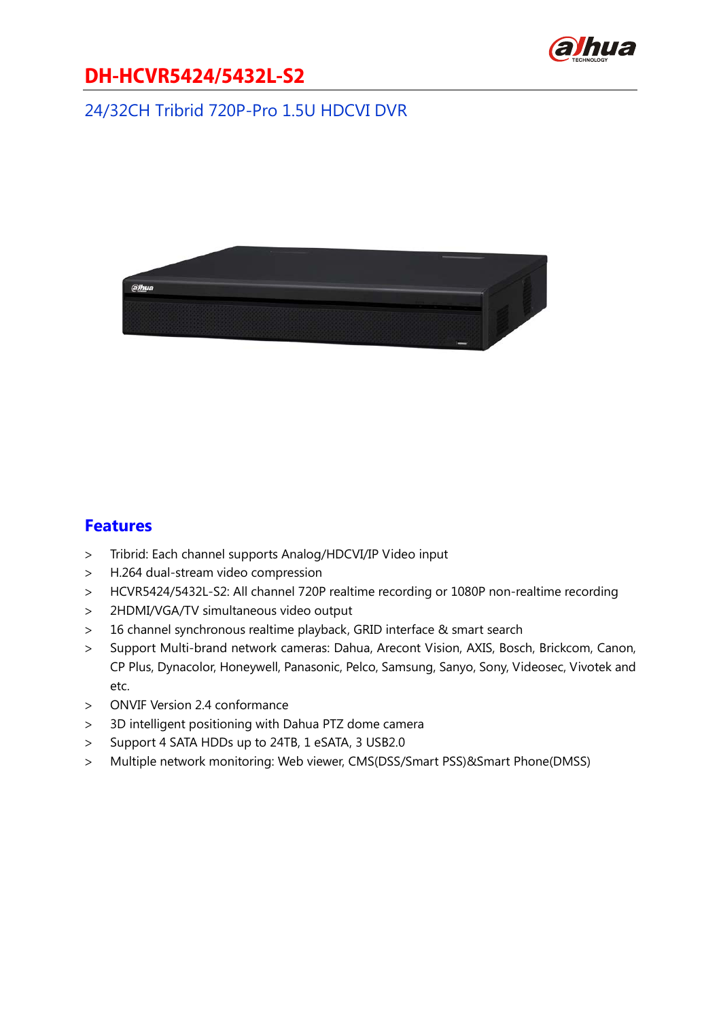

#### 24/32CH Tribrid 720P-Pro 1.5U HDCVI DVR



#### **Features**

- > Tribrid: Each channel supports Analog/HDCVI/IP Video input
- > H.264 dual-stream video compression
- > HCVR5424/5432L-S2: All channel 720P realtime recording or 1080P non-realtime recording
- > 2HDMI/VGA/TV simultaneous video output
- > 16 channel synchronous realtime playback, GRID interface & smart search
- > Support Multi-brand network cameras: Dahua, Arecont Vision, AXIS, Bosch, Brickcom, Canon, CP Plus, Dynacolor, Honeywell, Panasonic, Pelco, Samsung, Sanyo, Sony, Videosec, Vivotek and etc.
- > ONVIF Version 2.4 conformance
- > 3D intelligent positioning with Dahua PTZ dome camera
- > Support 4 SATA HDDs up to 24TB, 1 eSATA, 3 USB2.0
- > Multiple network monitoring: Web viewer, CMS(DSS/Smart PSS)&Smart Phone(DMSS)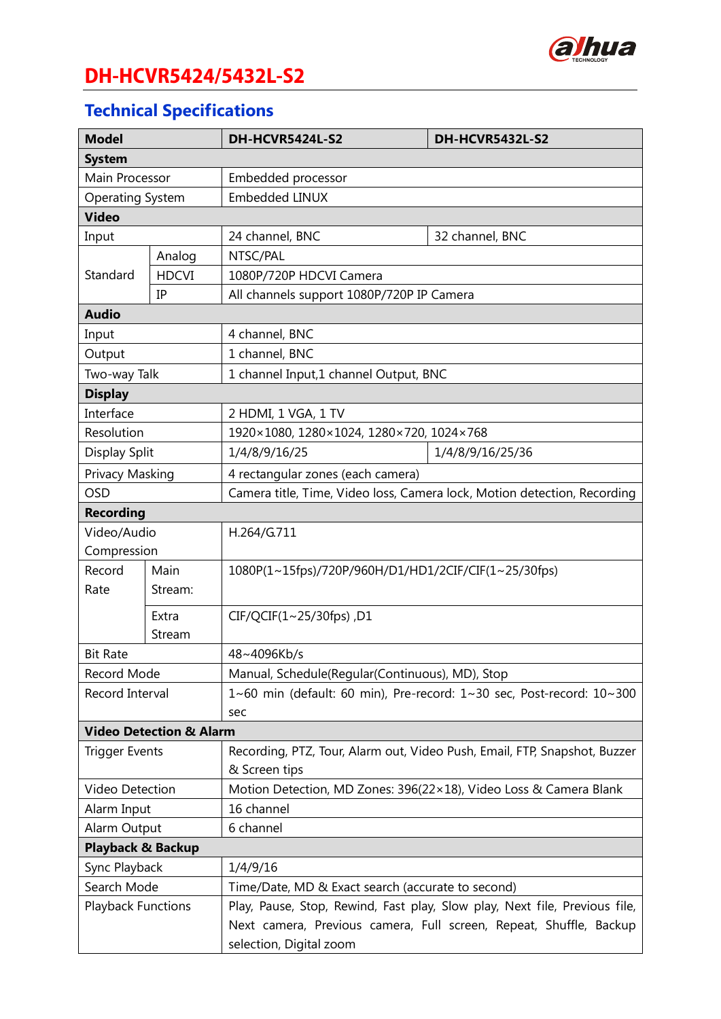

# **Technical Specifications**

| <b>Model</b>                       |                                                              | DH-HCVR5424L-S2                                                             | DH-HCVR5432L-S2  |  |
|------------------------------------|--------------------------------------------------------------|-----------------------------------------------------------------------------|------------------|--|
| <b>System</b>                      |                                                              |                                                                             |                  |  |
| Main Processor                     |                                                              | Embedded processor                                                          |                  |  |
| <b>Operating System</b>            |                                                              | <b>Embedded LINUX</b>                                                       |                  |  |
| <b>Video</b>                       |                                                              |                                                                             |                  |  |
| Input                              |                                                              | 24 channel, BNC                                                             | 32 channel, BNC  |  |
| Standard                           | Analog                                                       | NTSC/PAL                                                                    |                  |  |
|                                    | <b>HDCVI</b>                                                 | 1080P/720P HDCVI Camera                                                     |                  |  |
|                                    | IP                                                           | All channels support 1080P/720P IP Camera                                   |                  |  |
| <b>Audio</b>                       |                                                              |                                                                             |                  |  |
| Input                              |                                                              | 4 channel, BNC                                                              |                  |  |
| Output                             |                                                              | 1 channel, BNC                                                              |                  |  |
| Two-way Talk                       |                                                              | 1 channel Input,1 channel Output, BNC                                       |                  |  |
| <b>Display</b>                     |                                                              |                                                                             |                  |  |
| Interface                          |                                                              | 2 HDMI, 1 VGA, 1 TV                                                         |                  |  |
| Resolution                         |                                                              | 1920×1080, 1280×1024, 1280×720, 1024×768                                    |                  |  |
| Display Split                      |                                                              | 1/4/8/9/16/25                                                               | 1/4/8/9/16/25/36 |  |
| Privacy Masking                    |                                                              | 4 rectangular zones (each camera)                                           |                  |  |
| <b>OSD</b>                         |                                                              | Camera title, Time, Video loss, Camera lock, Motion detection, Recording    |                  |  |
| <b>Recording</b>                   |                                                              |                                                                             |                  |  |
| Video/Audio                        |                                                              | H.264/G.711                                                                 |                  |  |
| Compression                        |                                                              |                                                                             |                  |  |
| Record                             | Main<br>1080P(1~15fps)/720P/960H/D1/HD1/2CIF/CIF(1~25/30fps) |                                                                             |                  |  |
| Rate                               | Stream:                                                      |                                                                             |                  |  |
|                                    | Extra                                                        | CIF/QCIF(1~25/30fps), D1                                                    |                  |  |
|                                    | Stream                                                       |                                                                             |                  |  |
| <b>Bit Rate</b>                    |                                                              | 48~4096Kb/s                                                                 |                  |  |
| <b>Record Mode</b>                 |                                                              | Manual, Schedule(Regular(Continuous), MD), Stop                             |                  |  |
| Record Interval                    |                                                              | $1~60$ min (default: 60 min), Pre-record: $1~30$ sec, Post-record: $10~300$ |                  |  |
|                                    |                                                              | sec                                                                         |                  |  |
| <b>Video Detection &amp; Alarm</b> |                                                              |                                                                             |                  |  |
| <b>Trigger Events</b>              |                                                              | Recording, PTZ, Tour, Alarm out, Video Push, Email, FTP, Snapshot, Buzzer   |                  |  |
|                                    |                                                              | & Screen tips                                                               |                  |  |
| Video Detection                    |                                                              | Motion Detection, MD Zones: 396(22×18), Video Loss & Camera Blank           |                  |  |
| Alarm Input                        |                                                              | 16 channel                                                                  |                  |  |
| Alarm Output                       |                                                              | 6 channel                                                                   |                  |  |
| <b>Playback &amp; Backup</b>       |                                                              |                                                                             |                  |  |
| Sync Playback                      |                                                              | 1/4/9/16                                                                    |                  |  |
| Search Mode                        |                                                              | Time/Date, MD & Exact search (accurate to second)                           |                  |  |
| <b>Playback Functions</b>          |                                                              | Play, Pause, Stop, Rewind, Fast play, Slow play, Next file, Previous file,  |                  |  |
|                                    |                                                              | Next camera, Previous camera, Full screen, Repeat, Shuffle, Backup          |                  |  |
|                                    |                                                              | selection, Digital zoom                                                     |                  |  |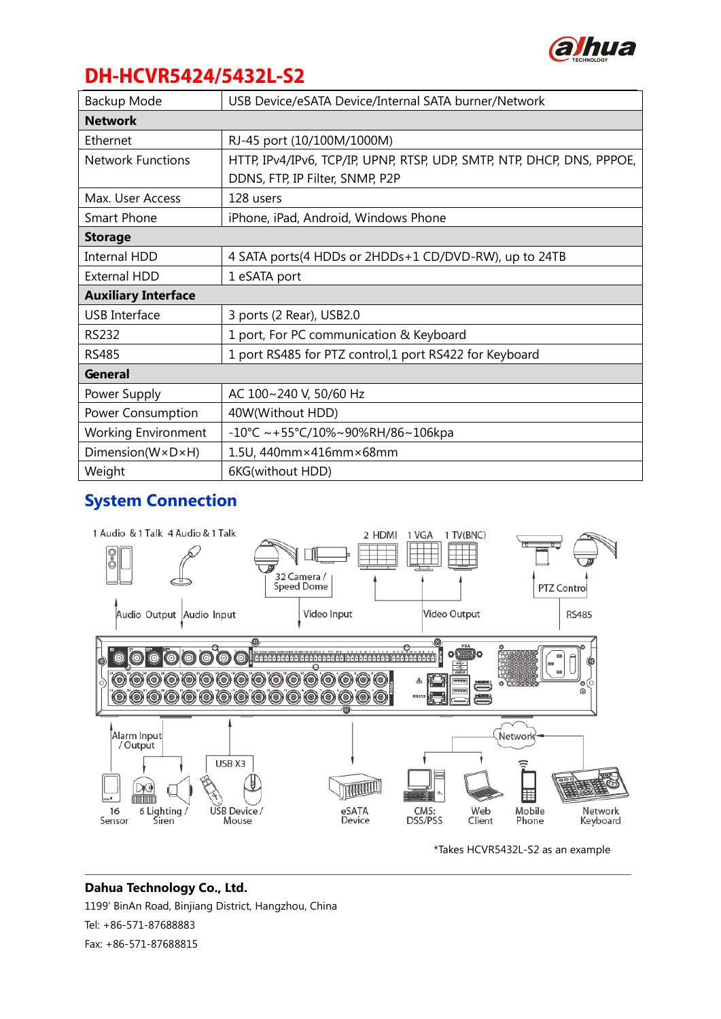

| Backup Mode                      | USB Device/eSATA Device/Internal SATA burner/Network                   |  |  |  |
|----------------------------------|------------------------------------------------------------------------|--|--|--|
| <b>Network</b>                   |                                                                        |  |  |  |
| Ethernet                         | RJ-45 port (10/100M/1000M)                                             |  |  |  |
| <b>Network Functions</b>         | HTTP, IPv4/IPv6, TCP/IP, UPNP, RTSP, UDP, SMTP, NTP, DHCP, DNS, PPPOE, |  |  |  |
|                                  | DDNS, FTP, IP Filter, SNMP, P2P                                        |  |  |  |
| Max. User Access                 | 128 users                                                              |  |  |  |
| Smart Phone                      | iPhone, iPad, Android, Windows Phone                                   |  |  |  |
| <b>Storage</b>                   |                                                                        |  |  |  |
| <b>Internal HDD</b>              | 4 SATA ports(4 HDDs or 2HDDs+1 CD/DVD-RW), up to 24TB                  |  |  |  |
| External HDD                     | 1 eSATA port                                                           |  |  |  |
| <b>Auxiliary Interface</b>       |                                                                        |  |  |  |
| <b>USB</b> Interface             | 3 ports (2 Rear), USB2.0                                               |  |  |  |
| RS232                            | 1 port, For PC communication & Keyboard                                |  |  |  |
| <b>RS485</b>                     | 1 port RS485 for PTZ control,1 port RS422 for Keyboard                 |  |  |  |
| General                          |                                                                        |  |  |  |
| Power Supply                     | AC 100~240 V, 50/60 Hz                                                 |  |  |  |
| Power Consumption                | 40W(Without HDD)                                                       |  |  |  |
| <b>Working Environment</b>       | $-10^{\circ}$ C ~ + 55°C/10%~90%RH/86~106kpa                           |  |  |  |
| $Dimension(W \times D \times H)$ | 1.5U, 440mm×416mm×68mm                                                 |  |  |  |
| Weight                           | 6KG(without HDD)                                                       |  |  |  |

#### **System Connection**



\*Takes HCVR5432L-S2 as an example

#### **Dahua Technology Co., Ltd.**

 $\overline{a}$ 

1199' BinAn Road, Binjiang District, Hangzhou, China Tel: +86-571-87688883 Fax: +86-571-87688815